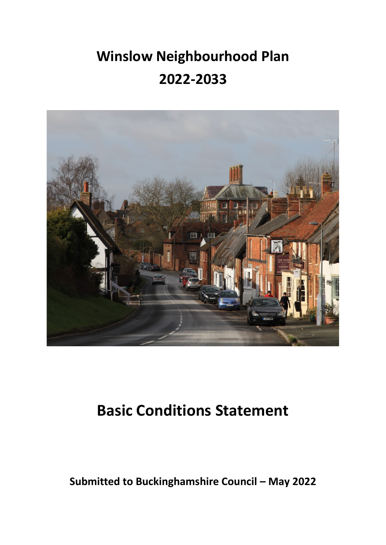# **Winslow Neighbourhood Plan 2022-2033**



# **Basic Conditions Statement**

**Submitted to Buckinghamshire Council – May 2022**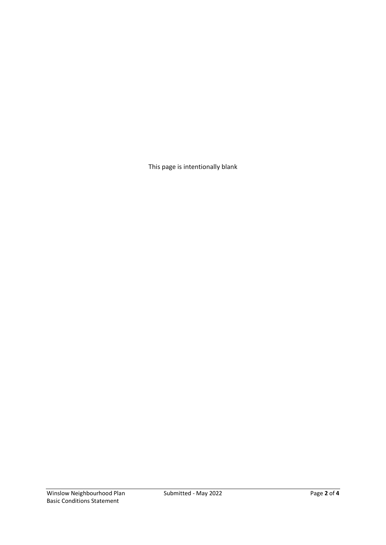This page is intentionally blank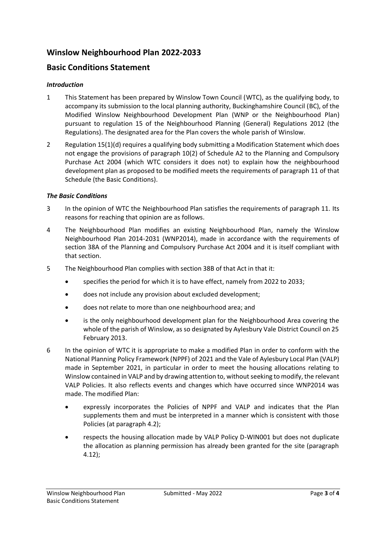## **Winslow Neighbourhood Plan 2022-2033**

### **Basic Conditions Statement**

#### *Introduction*

- 1 This Statement has been prepared by Winslow Town Council (WTC), as the qualifying body, to accompany its submission to the local planning authority, Buckinghamshire Council (BC), of the Modified Winslow Neighbourhood Development Plan (WNP or the Neighbourhood Plan) pursuant to regulation 15 of the Neighbourhood Planning (General) Regulations 2012 (the Regulations). The designated area for the Plan covers the whole parish of Winslow.
- 2 Regulation 15(1)(d) requires a qualifying body submitting a Modification Statement which does not engage the provisions of paragraph 10(2) of Schedule A2 to the Planning and Compulsory Purchase Act 2004 (which WTC considers it does not) to explain how the neighbourhood development plan as proposed to be modified meets the requirements of paragraph 11 of that Schedule (the Basic Conditions).

#### *The Basic Conditions*

- 3 In the opinion of WTC the Neighbourhood Plan satisfies the requirements of paragraph 11. Its reasons for reaching that opinion are as follows.
- 4 The Neighbourhood Plan modifies an existing Neighbourhood Plan, namely the Winslow Neighbourhood Plan 2014-2031 (WNP2014), made in accordance with the requirements of section 38A of the Planning and Compulsory Purchase Act 2004 and it is itself compliant with that section.
- 5 The Neighbourhood Plan complies with section 38B of that Act in that it:
	- specifies the period for which it is to have effect, namely from 2022 to 2033;
	- does not include any provision about excluded development;
	- does not relate to more than one neighbourhood area; and
	- is the only neighbourhood development plan for the Neighbourhood Area covering the whole of the parish of Winslow, as so designated by Aylesbury Vale District Council on 25 February 2013.
- 6 In the opinion of WTC it is appropriate to make a modified Plan in order to conform with the National Planning Policy Framework (NPPF) of 2021 and the Vale of Aylesbury Local Plan (VALP) made in September 2021, in particular in order to meet the housing allocations relating to Winslow contained in VALP and by drawing attention to, without seeking to modify, the relevant VALP Policies. It also reflects events and changes which have occurred since WNP2014 was made. The modified Plan:
	- expressly incorporates the Policies of NPPF and VALP and indicates that the Plan supplements them and must be interpreted in a manner which is consistent with those Policies (at paragraph 4.2);
	- respects the housing allocation made by VALP Policy D-WIN001 but does not duplicate the allocation as planning permission has already been granted for the site (paragraph 4.12);